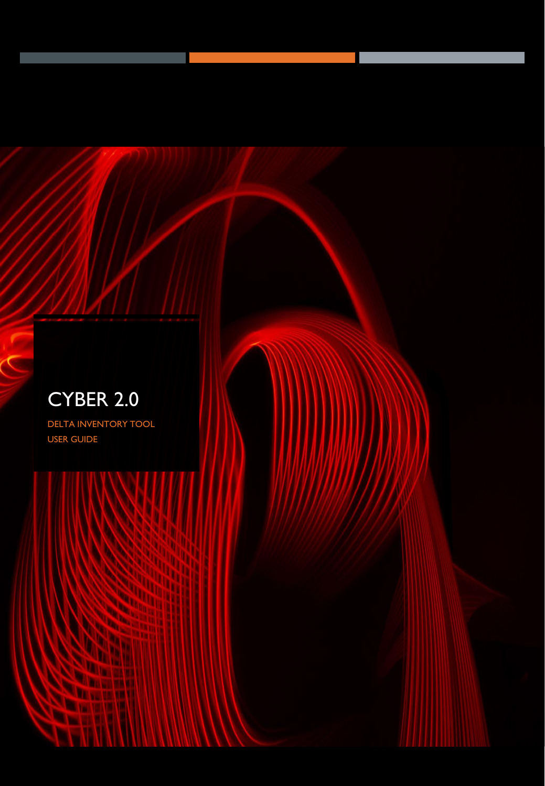# CYBER 2.0

DELTA INVENTORY TOOL USER GUIDE

**STAR** 

W **MA DE** ۹

**BALLARY** *<u>CALLS WATER</u>* 

mm

**STATE** 

ш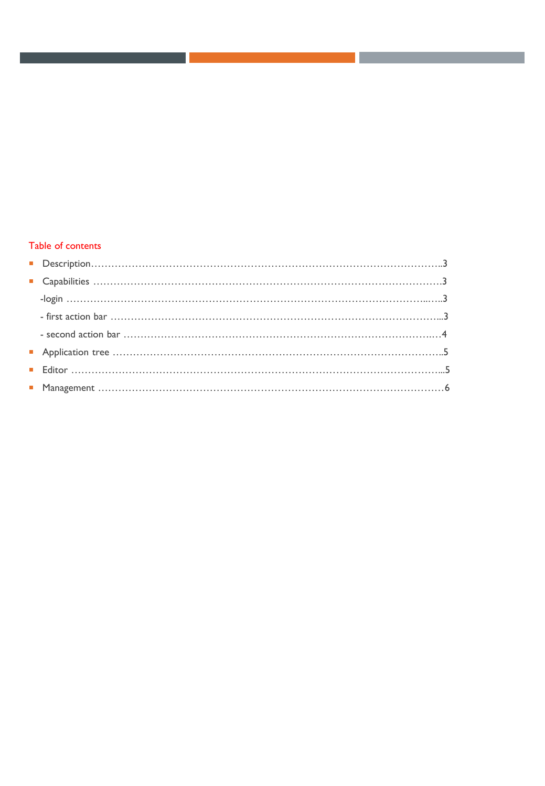# Table of contents

| $\begin{tabular}{ll} \hline \textbf{ \textcolor{red}{\textbf{ \textcolor{red}{\textbf{ \textcolor{red}{\textbf{ \textcolor{red}{\textbf{ \textcolor{red}{\textbf{ \textcolor{red}{\textbf{ \textcolor{red}{\textbf{ \textcolor{red}{\textbf{ \textcolor{red}{\textbf{ \textcolor{red}{\textbf{ \textcolor{red}{\textbf{ \textcolor{red}{\textbf{ \textcolor{red}{\textbf{ \textcolor{red}{\textbf{ \textcolor{red}{\textbf{ \textcolor{red}{\textbf{ \textcolor{red}{\textbf{ \textcolor{red}{\textbf{ \textcolor{red}{\textbf{ \textcolor{red}{\textbf{ \textcolor{red$ |  |
|--------------------------------------------------------------------------------------------------------------------------------------------------------------------------------------------------------------------------------------------------------------------------------------------------------------------------------------------------------------------------------------------------------------------------------------------------------------------------------------------------------------------------------------------------------------------------|--|
|                                                                                                                                                                                                                                                                                                                                                                                                                                                                                                                                                                          |  |
|                                                                                                                                                                                                                                                                                                                                                                                                                                                                                                                                                                          |  |
|                                                                                                                                                                                                                                                                                                                                                                                                                                                                                                                                                                          |  |
|                                                                                                                                                                                                                                                                                                                                                                                                                                                                                                                                                                          |  |
|                                                                                                                                                                                                                                                                                                                                                                                                                                                                                                                                                                          |  |
|                                                                                                                                                                                                                                                                                                                                                                                                                                                                                                                                                                          |  |
|                                                                                                                                                                                                                                                                                                                                                                                                                                                                                                                                                                          |  |

l.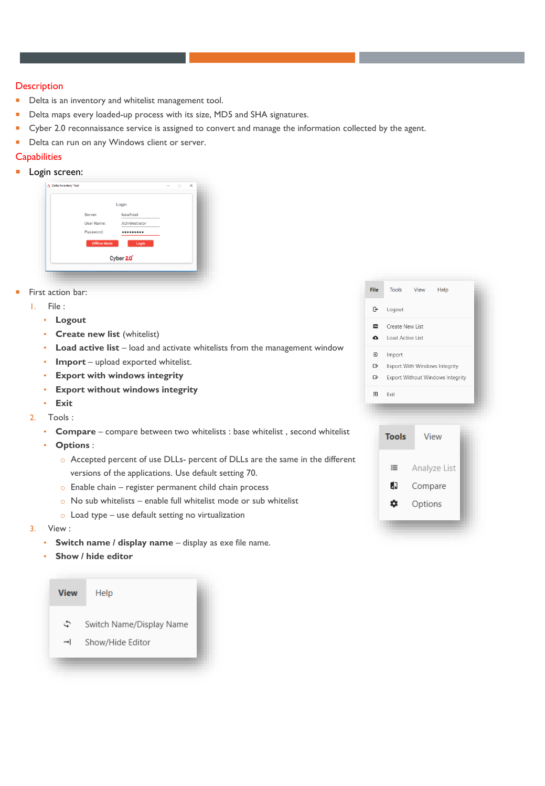#### **Description**

- **Delta is an inventory and whitelist management tool.**
- Delta maps every loaded-up process with its size, MD5 and SHA signatures.
- Cyber 2.0 reconnaissance service is assigned to convert and manage the information collected by the agent.
- Delta can run on any Windows client or server.

# **Capabilities**

**Login screen:** 

|                     | Login         |  |  |
|---------------------|---------------|--|--|
| Server:             | localhost     |  |  |
| User Name:          | Administrator |  |  |
| Password:           |               |  |  |
| <b>Offline Mode</b> | Login         |  |  |
|                     | Cyber 2.0     |  |  |

- First action bar:
	- 1. File :
		- **Logout**
		- **Create new list** (whitelist)
		- **Load active list** load and activate whitelists from the management window
		- **Import** upload exported whitelist.
		- **Export with windows integrity**
		- **Export without windows integrity**
		- **Exit**
	- 2. Tools :
		- **Compare** compare between two whitelists : base whitelist , second whitelist
		- **Options** :
			- o Accepted percent of use DLLs- percent of DLLs are the same in the different versions of the applications. Use default setting 70.
			- o Enable chain register permanent child chain process
			- $\circ$  No sub whitelists enable full whitelist mode or sub whitelist
			- o Load type use default setting no virtualization
	- 3. View :
		- **Switch name / display name display as exe file name.**
		- **Show / hide editor**





| View | Help                     |  |
|------|--------------------------|--|
| ء    | Switch Name/Display Name |  |
| →I   | Show/Hide Editor         |  |
|      |                          |  |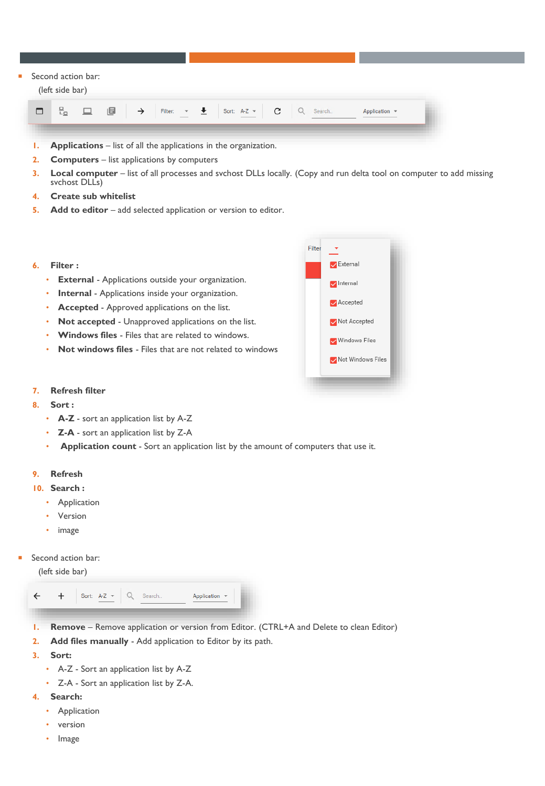#### Second action bar:

#### (left side bar)



- **1. Applications** list of all the applications in the organization.
- **2. Computers**  list applications by computers
- **3. Local computer**  list of all processes and svchost DLLs locally. (Copy and run delta tool on computer to add missing svchost DLLs)
- **4. Create sub whitelist**
- **5. Add to editor** add selected application or version to editor.
- **6. Filter :**
	- **External** Applications outside your organization.
	- **Internal** Applications inside your organization.
	- **Accepted**  Approved applications on the list.
	- **Not accepted**  Unapproved applications on the list.
	- **Windows files**  Files that are related to windows.
	- **Not windows files**  Files that are not related to windows

| Filter |                          |  |
|--------|--------------------------|--|
|        | External                 |  |
|        | Internal                 |  |
|        | $\sqrt{\text{Accepted}}$ |  |
|        | Not Accepted             |  |
|        | V Windows Files          |  |
|        | Mot Windows Files        |  |
|        |                          |  |
|        |                          |  |

- **7. Refresh filter**
- **8. Sort :**
	- **A-Z** sort an application list by A-Z
	- **Z-A** sort an application list by Z-A
	- **Application count**  Sort an application list by the amount of computers that use it.

#### **9. Refresh**

- **10. Search :**
	- **Application**
	- **Version**
	- image
- Second action bar:

(left side bar)



- **1. Remove** Remove application or version from Editor. (CTRL+A and Delete to clean Editor)
- **2. Add files manually**  Add application to Editor by its path.
- **3. Sort:**
	- A-Z Sort an application list by A-Z
	- Z-A Sort an application list by Z-A.
- **4. Search:** 
	- **Application**
	- version
	- Image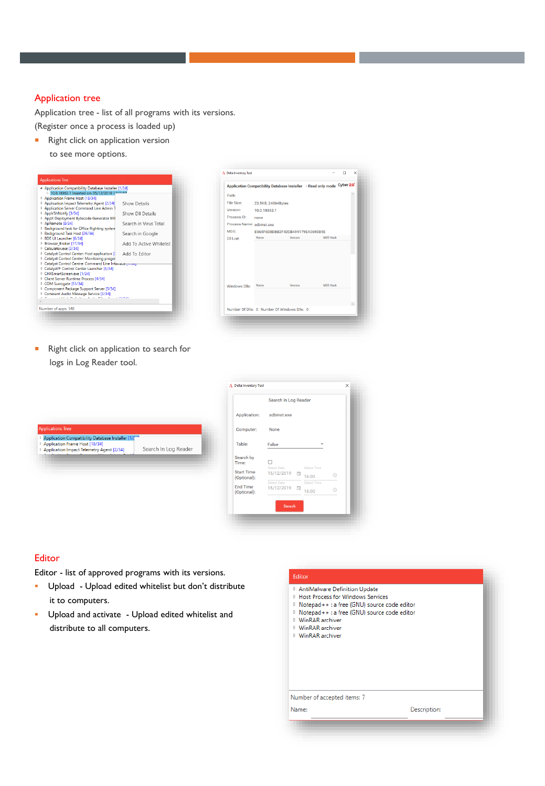## Application tree

Application tree - list of all programs with its versions.

(Register once a process is loaded up)

**Right click on application version** to see more options.



|                           |                    | Application Compatibility Database Installer - Read only mode Cyber 20 |                 |   |
|---------------------------|--------------------|------------------------------------------------------------------------|-----------------|---|
|                           |                    |                                                                        |                 |   |
| Path:                     |                    |                                                                        |                 |   |
| File Size:                | 23.5KB, 24064Bytes |                                                                        |                 |   |
| Version:                  | 10.0.18362.1       |                                                                        |                 |   |
| Process ID:               | none               |                                                                        |                 |   |
| Process Name: sdbinst.exe |                    |                                                                        |                 |   |
| MD <sub>5</sub> :         |                    | B365F6D8D8B2F42CB499179EA0693B9E                                       |                 |   |
| <b>DII List:</b>          | Name               | Version                                                                | <b>MDS Hash</b> |   |
|                           | Name               | Version                                                                | <b>MDS Hash</b> |   |
| Windows Dlls:             |                    |                                                                        |                 |   |
|                           |                    |                                                                        |                 | w |
|                           |                    | Number Of Dlls: 0 Number Of Windows Dlls: 0                            |                 |   |

**Right click on application to search for** logs in Log Reader tool.

| <b>Applications Tree</b><br>Application Compatibility Database Installer [1/7"<br>Application Frame Host [18/34]<br>Search In Log Reader<br>Application Impact Telemetry Agent [2/34] |
|---------------------------------------------------------------------------------------------------------------------------------------------------------------------------------------|
|                                                                                                                                                                                       |

| sdbinst.exe<br><b>Application:</b><br>Computer:<br>None<br>Table:<br>False<br>Select Time<br>Select Date<br>15/12/2019<br>a<br>⊙<br>16:00<br>Select Time<br>Select Date<br>$\sqrt{2}$ | Search In Log Reader |       |   |  |
|---------------------------------------------------------------------------------------------------------------------------------------------------------------------------------------|----------------------|-------|---|--|
|                                                                                                                                                                                       |                      |       |   |  |
| Search by<br>Time:<br><b>Start Time</b><br>(Optional):<br><b>End Time</b>                                                                                                             |                      |       |   |  |
|                                                                                                                                                                                       |                      |       |   |  |
|                                                                                                                                                                                       |                      |       |   |  |
| (Optional):                                                                                                                                                                           | 15/12/2019           | 16:00 | ര |  |

### **Editor**

Editor - list of approved programs with its versions.

- Upload Upload edited whitelist but don't distribute it to computers.
- **·** Upload and activate Upload edited whitelist and distribute to all computers.

Name:

- **D** AntiMalware Definition Update
- **D** Host Process for Windows Services
- ▷ Notepad++ : a free (GNU) source code editor
- Motepad++ : a free (GNU) source code editor ▷ WinRAR archiver
- MinRAR archiver
- ▷ WinRAR archiver

Number of accepted items: 7

Description: